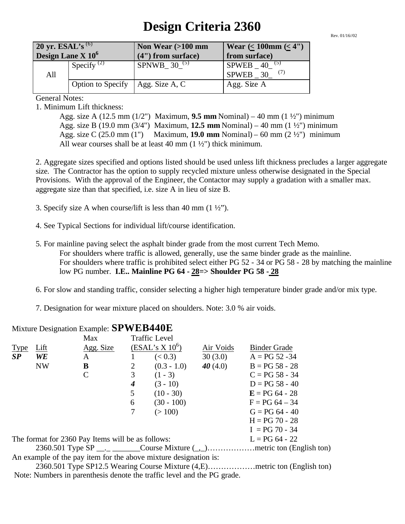## **Design Criteria 2360**

Rev. 01/16//02

| 20 yr. ESAL's $^{(6)}$ |                        | Non Wear $(>100$ mm | Wear $(< 100$ mm $(< 4")$ |  |
|------------------------|------------------------|---------------------|---------------------------|--|
| Design Lane $X$ $106$  |                        | (4") from surface)  | from surface)             |  |
|                        | Specify <sup>(2)</sup> | SPNWB_ $30^{(5)}$   | $SPWEB = 40$<br>(5)       |  |
| All                    |                        |                     | SPWEB 30                  |  |
|                        | Option to Specify      | Agg. Size A, C      | Agg. Size A               |  |

General Notes:

1. Minimum Lift thickness:

Agg. size A (12.5 mm (1/2") Maximum, **9.5 mm** Nominal) – 40 mm (1 ½") minimum Agg. size B (19.0 mm (3/4") Maximum, **12.5 mm** Nominal) – 40 mm (1 ½") minimum Agg. size C (25.0 mm (1") Maximum, **19.0 mm** Nominal) – 60 mm (2 ½") minimum All wear courses shall be at least 40 mm  $(1 \frac{1}{2})$  thick minimum.

2. Aggregate sizes specified and options listed should be used unless lift thickness precludes a larger aggregate size. The Contractor has the option to supply recycled mixture unless otherwise designated in the Special Provisions. With the approval of the Engineer, the Contactor may supply a gradation with a smaller max. aggregate size than that specified, i.e. size A in lieu of size B.

- 3. Specify size A when course/lift is less than 40 mm  $(1 \frac{1}{2})$ .
- 4. See Typical Sections for individual lift/course identification.
- 5. For mainline paving select the asphalt binder grade from the most current Tech Memo. For shoulders where traffic is allowed, generally, use the same binder grade as the mainline. For shoulders where traffic is prohibited select either PG 52 - 34 or PG 58 - 28 by matching the mainline low PG number. **I.E.. Mainline PG 64 - 28=> Shoulder PG 58 - 28**
- 6. For slow and standing traffic, consider selecting a higher high temperature binder grade and/or mix type.
- 7. Designation for wear mixture placed on shoulders. Note: 3.0 % air voids.

## Mixture Designation Example: **SPWEB440E**

|                                                   |           | Max           |   | <b>Traffic Level</b>                                             |            |                     |
|---------------------------------------------------|-----------|---------------|---|------------------------------------------------------------------|------------|---------------------|
| <b>Type</b>                                       | Lift      | Agg. Size     |   | (ESAL's X 10 <sup>6</sup> )                                      | Air Voids  | <b>Binder Grade</b> |
| SP                                                | WE        | A             |   | (< 0.3)                                                          | 30(3.0)    | $A = PG 52 - 34$    |
|                                                   | <b>NW</b> | B             | 2 | $(0.3 - 1.0)$                                                    | 40 $(4.0)$ | $B = PG 58 - 28$    |
|                                                   |           | $\mathcal{C}$ | 3 | $(1 - 3)$                                                        |            | $C = PG 58 - 34$    |
|                                                   |           |               | 4 | $(3 - 10)$                                                       |            | $D = PG 58 - 40$    |
|                                                   |           |               | 5 | $(10 - 30)$                                                      |            | $E = PG 64 - 28$    |
|                                                   |           |               | 6 | $(30 - 100)$                                                     |            | $F = PG 64 - 34$    |
|                                                   |           |               | 7 | (>100)                                                           |            | $G = PG 64 - 40$    |
|                                                   |           |               |   |                                                                  |            | $H = PG 70 - 28$    |
|                                                   |           |               |   |                                                                  |            | $I = PG 70 - 34$    |
| The format for 2360 Pay Items will be as follows: |           |               |   |                                                                  |            | $L = PG 64 - 22$    |
|                                                   |           |               |   |                                                                  |            |                     |
|                                                   |           |               |   | An example of the pay item for the above mixture designation is: |            |                     |

2360.501 Type SP12.5 Wearing Course Mixture (4,E)………………metric ton (English ton) Note: Numbers in parenthesis denote the traffic level and the PG grade.